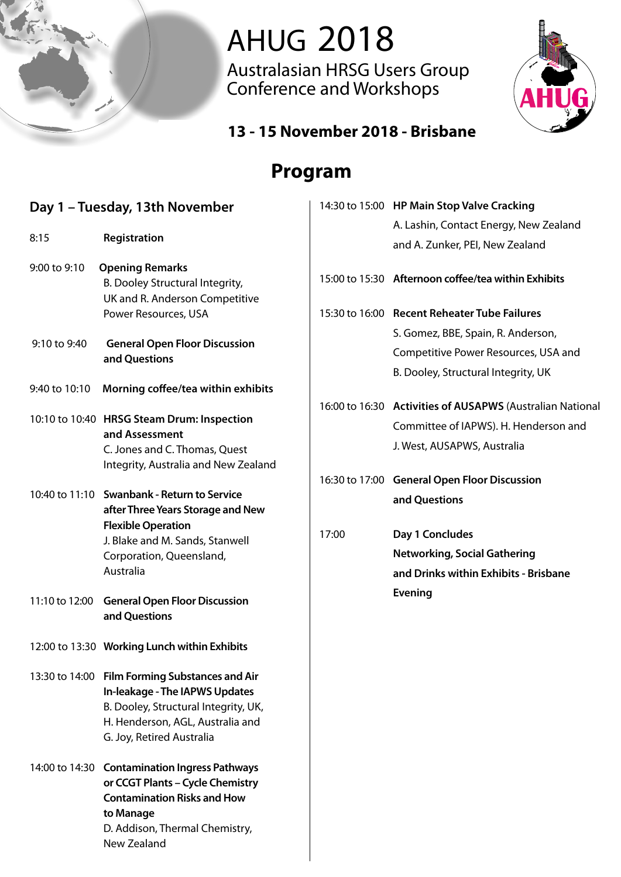

# **AHUG 2018**

Australasian HRSG Users Group Conference and Workshops



#### **Sponsorship 2018 - 13 - 15 November 2018 - Brisbane**

## **Program**

| Day 1 - Tuesday, 13th November |                                                                                                                                                                                           |       | 14:30 to 15:00 HP Main Stop Valve Cracking                                                                                        |  |
|--------------------------------|-------------------------------------------------------------------------------------------------------------------------------------------------------------------------------------------|-------|-----------------------------------------------------------------------------------------------------------------------------------|--|
|                                |                                                                                                                                                                                           |       | A. Lashin, Contact Energy, New Zealand                                                                                            |  |
| 8:15                           | Registration                                                                                                                                                                              |       | and A. Zunker, PEI, New Zealand                                                                                                   |  |
| 9:00 to 9:10                   | <b>Opening Remarks</b><br>B. Dooley Structural Integrity,<br>UK and R. Anderson Competitive                                                                                               |       | 15:00 to 15:30 Afternoon coffee/tea within Exhibits                                                                               |  |
|                                | Power Resources, USA                                                                                                                                                                      |       | 15:30 to 16:00 Recent Reheater Tube Failures                                                                                      |  |
| 9:10 to 9:40                   | <b>General Open Floor Discussion</b><br>and Questions                                                                                                                                     |       | S. Gomez, BBE, Spain, R. Anderson,<br>Competitive Power Resources, USA and<br>B. Dooley, Structural Integrity, UK                 |  |
| 9:40 to 10:10                  | Morning coffee/tea within exhibits                                                                                                                                                        |       |                                                                                                                                   |  |
|                                | 10:10 to 10:40 HRSG Steam Drum: Inspection<br>and Assessment<br>C. Jones and C. Thomas, Quest<br>Integrity, Australia and New Zealand                                                     |       | 16:00 to 16:30 Activities of AUSAPWS (Australian National<br>Committee of IAPWS). H. Henderson and<br>J. West, AUSAPWS, Australia |  |
|                                |                                                                                                                                                                                           |       | 16:30 to 17:00 General Open Floor Discussion                                                                                      |  |
|                                | 10:40 to 11:10 Swanbank - Return to Service<br>after Three Years Storage and New                                                                                                          |       | and Questions                                                                                                                     |  |
|                                | <b>Flexible Operation</b><br>J. Blake and M. Sands, Stanwell<br>Corporation, Queensland,<br>Australia                                                                                     | 17:00 | Day 1 Concludes<br><b>Networking, Social Gathering</b><br>and Drinks within Exhibits - Brisbane                                   |  |
| 11:10 to 12:00                 | <b>General Open Floor Discussion</b><br>and Questions                                                                                                                                     |       | <b>Evening</b>                                                                                                                    |  |
|                                | 12:00 to 13:30 Working Lunch within Exhibits                                                                                                                                              |       |                                                                                                                                   |  |
|                                | 13:30 to 14:00 Film Forming Substances and Air<br>In-leakage - The IAPWS Updates<br>B. Dooley, Structural Integrity, UK,<br>H. Henderson, AGL, Australia and<br>G. Joy, Retired Australia |       |                                                                                                                                   |  |
|                                | 14:00 to 14:30 Contamination Ingress Pathways<br>or CCGT Plants - Cycle Chemistry<br><b>Contamination Risks and How</b><br>to Manage                                                      |       |                                                                                                                                   |  |

**D. Addison, Thermal Chemistry, The Networking Chemistry and give out promotion** 

external action of the Reception of the Reception of the Reception of the Reception of the Reception of the Reception of the Reception of the Reception of the Reception of the Reception of the Reception of the Reception of